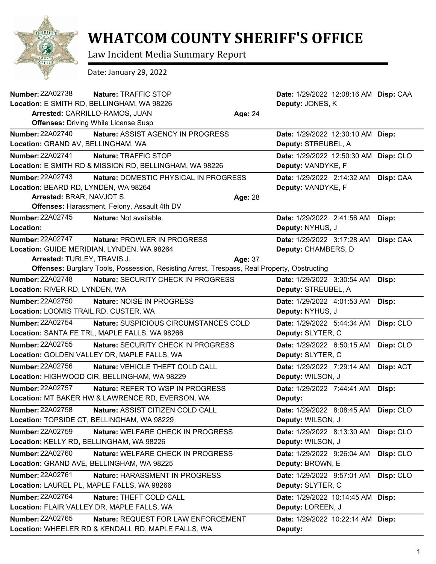

## **WHATCOM COUNTY SHERIFF'S OFFICE**

Law Incident Media Summary Report

Date: January 29, 2022

| <b>Number: 22A02738</b>                          | Nature: TRAFFIC STOP                                                                         |         | Date: 1/29/2022 12:08:16 AM Disp: CAA |           |
|--------------------------------------------------|----------------------------------------------------------------------------------------------|---------|---------------------------------------|-----------|
| Location: E SMITH RD, BELLINGHAM, WA 98226       |                                                                                              |         | Deputy: JONES, K                      |           |
| Arrested: CARRILLO-RAMOS, JUAN<br><b>Age: 24</b> |                                                                                              |         |                                       |           |
| <b>Offenses: Driving While License Susp</b>      |                                                                                              |         |                                       |           |
| <b>Number: 22A02740</b>                          | <b>Nature: ASSIST AGENCY IN PROGRESS</b>                                                     |         | Date: 1/29/2022 12:30:10 AM Disp:     |           |
| Location: GRAND AV, BELLINGHAM, WA               |                                                                                              |         | Deputy: STREUBEL, A                   |           |
| Number: 22A02741                                 | Nature: TRAFFIC STOP                                                                         |         | Date: 1/29/2022 12:50:30 AM Disp: CLO |           |
|                                                  | Location: E SMITH RD & MISSION RD, BELLINGHAM, WA 98226                                      |         | Deputy: VANDYKE, F                    |           |
| <b>Number: 22A02743</b>                          | Nature: DOMESTIC PHYSICAL IN PROGRESS                                                        |         | Date: 1/29/2022 2:14:32 AM            | Disp: CAA |
| Location: BEARD RD, LYNDEN, WA 98264             |                                                                                              |         | Deputy: VANDYKE, F                    |           |
| Arrested: BRAR, NAVJOT S.                        |                                                                                              | Age: 28 |                                       |           |
|                                                  | Offenses: Harassment, Felony, Assault 4th DV                                                 |         |                                       |           |
| <b>Number: 22A02745</b>                          | Nature: Not available.                                                                       |         | Date: 1/29/2022 2:41:56 AM            | Disp:     |
| Location:                                        |                                                                                              |         | Deputy: NYHUS, J                      |           |
| Number: 22A02747                                 | Nature: PROWLER IN PROGRESS                                                                  |         | Date: 1/29/2022 3:17:28 AM            | Disp: CAA |
| Location: GUIDE MERIDIAN, LYNDEN, WA 98264       |                                                                                              |         | Deputy: CHAMBERS, D                   |           |
| Arrested: TURLEY, TRAVIS J.                      |                                                                                              | Age: 37 |                                       |           |
|                                                  | Offenses: Burglary Tools, Possession, Resisting Arrest, Trespass, Real Property, Obstructing |         |                                       |           |
| <b>Number: 22A02748</b>                          | Nature: SECURITY CHECK IN PROGRESS                                                           |         | Date: 1/29/2022 3:30:54 AM            | Disp:     |
| Location: RIVER RD, LYNDEN, WA                   |                                                                                              |         | Deputy: STREUBEL, A                   |           |
| Number: 22A02750                                 | Nature: NOISE IN PROGRESS                                                                    |         | Date: 1/29/2022 4:01:53 AM            | Disp:     |
| Location: LOOMIS TRAIL RD, CUSTER, WA            |                                                                                              |         | Deputy: NYHUS, J                      |           |
| <b>Number: 22A02754</b>                          | Nature: SUSPICIOUS CIRCUMSTANCES COLD                                                        |         | Date: 1/29/2022 5:44:34 AM            | Disp: CLO |
| Location: SANTA FE TRL, MAPLE FALLS, WA 98266    |                                                                                              |         | Deputy: SLYTER, C                     |           |
| <b>Number: 22A02755</b>                          | <b>Nature: SECURITY CHECK IN PROGRESS</b>                                                    |         | Date: 1/29/2022 6:50:15 AM            | Disp: CLO |
| Location: GOLDEN VALLEY DR, MAPLE FALLS, WA      |                                                                                              |         | Deputy: SLYTER, C                     |           |
| <b>Number: 22A02756</b>                          | Nature: VEHICLE THEFT COLD CALL                                                              |         | Date: 1/29/2022 7:29:14 AM            | Disp: ACT |
| Location: HIGHWOOD CIR, BELLINGHAM, WA 98229     |                                                                                              |         | Deputy: WILSON, J                     |           |
| <b>Number: 22A02757</b>                          | Nature: REFER TO WSP IN PROGRESS                                                             |         | Date: 1/29/2022 7:44:41 AM            | Disp:     |
|                                                  | Location: MT BAKER HW & LAWRENCE RD, EVERSON, WA                                             |         | Deputy:                               |           |
| <b>Number: 22A02758</b>                          | Nature: ASSIST CITIZEN COLD CALL                                                             |         | Date: 1/29/2022 8:08:45 AM Disp: CLO  |           |
| Location: TOPSIDE CT, BELLINGHAM, WA 98229       |                                                                                              |         | Deputy: WILSON, J                     |           |
| <b>Number: 22A02759</b>                          | Nature: WELFARE CHECK IN PROGRESS                                                            |         | Date: 1/29/2022 8:13:30 AM            | Disp: CLO |
| Location: KELLY RD, BELLINGHAM, WA 98226         |                                                                                              |         | Deputy: WILSON, J                     |           |
| <b>Number: 22A02760</b>                          | Nature: WELFARE CHECK IN PROGRESS                                                            |         | Date: 1/29/2022 9:26:04 AM            | Disp: CLO |
| Location: GRAND AVE, BELLINGHAM, WA 98225        |                                                                                              |         | Deputy: BROWN, E                      |           |
| Number: 22A02761                                 | Nature: HARASSMENT IN PROGRESS                                                               |         | Date: 1/29/2022 9:57:01 AM            | Disp: CLO |
| Location: LAUREL PL, MAPLE FALLS, WA 98266       |                                                                                              |         | Deputy: SLYTER, C                     |           |
| Number: 22A02764                                 | Nature: THEFT COLD CALL                                                                      |         | Date: 1/29/2022 10:14:45 AM Disp:     |           |
| Location: FLAIR VALLEY DR, MAPLE FALLS, WA       |                                                                                              |         | Deputy: LOREEN, J                     |           |
| Number: 22A02765                                 | Nature: REQUEST FOR LAW ENFORCEMENT                                                          |         | Date: 1/29/2022 10:22:14 AM Disp:     |           |
|                                                  | Location: WHEELER RD & KENDALL RD, MAPLE FALLS, WA                                           |         | Deputy:                               |           |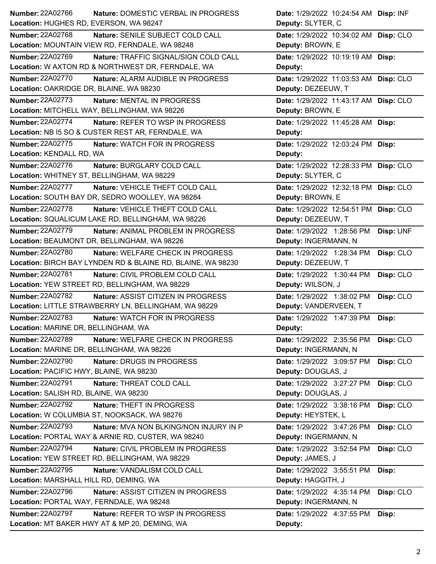| Number: 22A02766<br>Nature: DOMESTIC VERBAL IN PROGRESS             | Date: 1/29/2022 10:24:54 AM Disp: INF   |
|---------------------------------------------------------------------|-----------------------------------------|
| Location: HUGHES RD, EVERSON, WA 98247                              | Deputy: SLYTER, C                       |
| <b>Number: 22A02768</b><br>Nature: SENILE SUBJECT COLD CALL         | Date: 1/29/2022 10:34:02 AM Disp: CLO   |
| Location: MOUNTAIN VIEW RD, FERNDALE, WA 98248                      | Deputy: BROWN, E                        |
| Number: 22A02769<br>Nature: TRAFFIC SIGNAL/SIGN COLD CALL           | Date: 1/29/2022 10:19:19 AM Disp:       |
| Location: W AXTON RD & NORTHWEST DR, FERNDALE, WA                   | Deputy:                                 |
| <b>Number: 22A02770</b><br>Nature: ALARM AUDIBLE IN PROGRESS        | Date: 1/29/2022 11:03:53 AM Disp: CLO   |
| Location: OAKRIDGE DR, BLAINE, WA 98230                             | Deputy: DEZEEUW, T                      |
| Number: 22A02773<br>Nature: MENTAL IN PROGRESS                      | Date: 1/29/2022 11:43:17 AM Disp: CLO   |
| Location: MITCHELL WAY, BELLINGHAM, WA 98226                        | Deputy: BROWN, E                        |
| <b>Number: 22A02774</b><br>Nature: REFER TO WSP IN PROGRESS         | Date: 1/29/2022 11:45:28 AM Disp:       |
| Location: NB I5 SO & CUSTER REST AR, FERNDALE, WA                   | Deputy:                                 |
| <b>Number: 22A02775</b><br>Nature: WATCH FOR IN PROGRESS            | Date: 1/29/2022 12:03:24 PM Disp:       |
| Location: KENDALL RD, WA                                            | Deputy:                                 |
| <b>Number: 22A02776</b><br>Nature: BURGLARY COLD CALL               | Date: 1/29/2022 12:28:33 PM Disp: CLO   |
| Location: WHITNEY ST, BELLINGHAM, WA 98229                          | Deputy: SLYTER, C                       |
| <b>Number: 22A02777</b><br>Nature: VEHICLE THEFT COLD CALL          | Date: 1/29/2022 12:32:18 PM Disp: CLO   |
| Location: SOUTH BAY DR, SEDRO WOOLLEY, WA 98284                     | Deputy: BROWN, E                        |
| <b>Number: 22A02778</b><br>Nature: VEHICLE THEFT COLD CALL          | Date: 1/29/2022 12:54:51 PM Disp: CLO   |
| Location: SQUALICUM LAKE RD, BELLINGHAM, WA 98226                   | Deputy: DEZEEUW, T                      |
| <b>Number: 22A02779</b><br>Nature: ANIMAL PROBLEM IN PROGRESS       | Date: 1/29/2022 1:28:56 PM<br>Disp: UNF |
| Location: BEAUMONT DR, BELLINGHAM, WA 98226                         | Deputy: INGERMANN, N                    |
| Number: 22A02780<br>Nature: WELFARE CHECK IN PROGRESS               | Date: 1/29/2022 1:28:34 PM<br>Disp: CLO |
| Location: BIRCH BAY LYNDEN RD & BLAINE RD, BLAINE, WA 98230         | Deputy: DEZEEUW, T                      |
| <b>Number: 22A02781</b><br>Nature: CIVIL PROBLEM COLD CALL          | Date: 1/29/2022 1:30:44 PM<br>Disp: CLO |
| Location: YEW STREET RD, BELLINGHAM, WA 98229                       | Deputy: WILSON, J                       |
| Number: 22A02782<br>Nature: ASSIST CITIZEN IN PROGRESS              | Date: 1/29/2022 1:38:02 PM<br>Disp: CLO |
| Location: LITTLE STRAWBERRY LN, BELLINGHAM, WA 98229                | Deputy: VANDERVEEN, T                   |
| <b>Number: 22A02783</b><br>Nature: WATCH FOR IN PROGRESS            | Date: 1/29/2022 1:47:39 PM<br>Disp:     |
| Location: MARINE DR, BELLINGHAM, WA                                 | Deputy:                                 |
| <b>Number: 22A02789</b><br><b>Nature: WELFARE CHECK IN PROGRESS</b> | Disp: CLO<br>Date: 1/29/2022 2:35:56 PM |
| Location: MARINE DR, BELLINGHAM, WA 98226                           | Deputy: INGERMANN, N                    |
| Number: 22A02790<br>Nature: DRUGS IN PROGRESS                       | Date: 1/29/2022 3:09:57 PM<br>Disp: CLO |
| Location: PACIFIC HWY, BLAINE, WA 98230                             | Deputy: DOUGLAS, J                      |
| Number: 22A02791<br>Nature: THREAT COLD CALL                        | Date: 1/29/2022 3:27:27 PM<br>Disp: CLO |
| Location: SALISH RD, BLAINE, WA 98230                               | Deputy: DOUGLAS, J                      |
| Number: 22A02792<br>Nature: THEFT IN PROGRESS                       | Date: 1/29/2022 3:38:16 PM<br>Disp: CLO |
| Location: W COLUMBIA ST, NOOKSACK, WA 98276                         | Deputy: HEYSTEK, L                      |
| Number: 22A02793<br>Nature: MVA NON BLKING/NON INJURY IN P          | Date: 1/29/2022 3:47:26 PM<br>Disp: CLO |
| Location: PORTAL WAY & ARNIE RD, CUSTER, WA 98240                   | Deputy: INGERMANN, N                    |
| <b>Number: 22A02794</b><br>Nature: CIVIL PROBLEM IN PROGRESS        | Date: 1/29/2022 3:52:54 PM<br>Disp: CLO |
| Location: YEW STREET RD, BELLINGHAM, WA 98229                       | Deputy: JAMES, J                        |
| Number: 22A02795<br>Nature: VANDALISM COLD CALL                     | Date: 1/29/2022 3:55:51 PM<br>Disp:     |
| Location: MARSHALL HILL RD, DEMING, WA                              | Deputy: HAGGITH, J                      |
| Number: 22A02796<br>Nature: ASSIST CITIZEN IN PROGRESS              | Date: 1/29/2022 4:35:14 PM<br>Disp: CLO |
| Location: PORTAL WAY, FERNDALE, WA 98248                            | Deputy: INGERMANN, N                    |
| <b>Number: 22A02797</b><br>Nature: REFER TO WSP IN PROGRESS         | Date: 1/29/2022 4:37:55 PM<br>Disp:     |
| Location: MT BAKER HWY AT & MP 20, DEMING, WA                       | Deputy:                                 |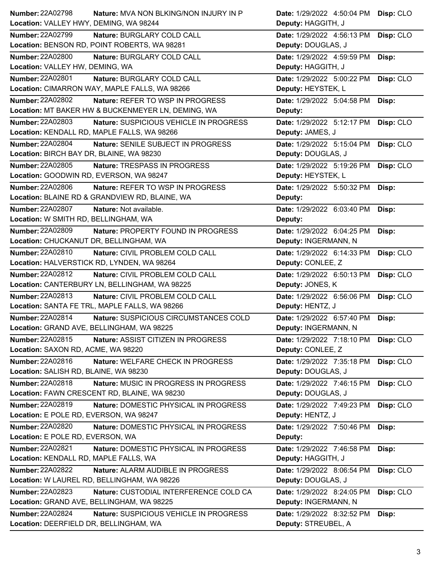| Number: 22A02798                          | Nature: MVA NON BLKING/NON INJURY IN P             | Date: 1/29/2022 4:50:04 PM | Disp: CLO |
|-------------------------------------------|----------------------------------------------------|----------------------------|-----------|
| Location: VALLEY HWY, DEMING, WA 98244    |                                                    | Deputy: HAGGITH, J         |           |
| <b>Number: 22A02799</b>                   | Nature: BURGLARY COLD CALL                         | Date: 1/29/2022 4:56:13 PM | Disp: CLO |
|                                           | Location: BENSON RD, POINT ROBERTS, WA 98281       | Deputy: DOUGLAS, J         |           |
| Number: 22A02800                          | Nature: BURGLARY COLD CALL                         | Date: 1/29/2022 4:59:59 PM | Disp:     |
| Location: VALLEY HW, DEMING, WA           |                                                    | Deputy: HAGGITH, J         |           |
| <b>Number: 22A02801</b>                   | Nature: BURGLARY COLD CALL                         | Date: 1/29/2022 5:00:22 PM | Disp: CLO |
|                                           | Location: CIMARRON WAY, MAPLE FALLS, WA 98266      | Deputy: HEYSTEK, L         |           |
| <b>Number: 22A02802</b>                   | Nature: REFER TO WSP IN PROGRESS                   | Date: 1/29/2022 5:04:58 PM | Disp:     |
|                                           | Location: MT BAKER HW & BUCKENMEYER LN, DEMING, WA | Deputy:                    |           |
| <b>Number: 22A02803</b>                   | Nature: SUSPICIOUS VEHICLE IN PROGRESS             | Date: 1/29/2022 5:12:17 PM | Disp: CLO |
|                                           | Location: KENDALL RD, MAPLE FALLS, WA 98266        | Deputy: JAMES, J           |           |
| Number: 22A02804                          | Nature: SENILE SUBJECT IN PROGRESS                 | Date: 1/29/2022 5:15:04 PM | Disp: CLO |
| Location: BIRCH BAY DR, BLAINE, WA 98230  |                                                    | Deputy: DOUGLAS, J         |           |
| Number: 22A02805                          | Nature: TRESPASS IN PROGRESS                       | Date: 1/29/2022 5:19:26 PM | Disp: CLO |
| Location: GOODWIN RD, EVERSON, WA 98247   |                                                    | Deputy: HEYSTEK, L         |           |
| <b>Number: 22A02806</b>                   | Nature: REFER TO WSP IN PROGRESS                   | Date: 1/29/2022 5:50:32 PM | Disp:     |
|                                           | Location: BLAINE RD & GRANDVIEW RD, BLAINE, WA     | Deputy:                    |           |
| Number: 22A02807                          | Nature: Not available.                             | Date: 1/29/2022 6:03:40 PM | Disp:     |
| Location: W SMITH RD, BELLINGHAM, WA      |                                                    | Deputy:                    |           |
| Number: 22A02809                          | Nature: PROPERTY FOUND IN PROGRESS                 | Date: 1/29/2022 6:04:25 PM | Disp:     |
| Location: CHUCKANUT DR, BELLINGHAM, WA    |                                                    | Deputy: INGERMANN, N       |           |
| Number: 22A02810                          | Nature: CIVIL PROBLEM COLD CALL                    | Date: 1/29/2022 6:14:33 PM | Disp: CLO |
|                                           | Location: HALVERSTICK RD, LYNDEN, WA 98264         | Deputy: CONLEE, Z          |           |
| Number: 22A02812                          | Nature: CIVIL PROBLEM COLD CALL                    | Date: 1/29/2022 6:50:13 PM | Disp: CLO |
|                                           |                                                    |                            |           |
|                                           | Location: CANTERBURY LN, BELLINGHAM, WA 98225      | Deputy: JONES, K           |           |
| Number: 22A02813                          | Nature: CIVIL PROBLEM COLD CALL                    | Date: 1/29/2022 6:56:06 PM | Disp: CLO |
|                                           | Location: SANTA FE TRL, MAPLE FALLS, WA 98266      | Deputy: HENTZ, J           |           |
| Number: 22A02814                          | Nature: SUSPICIOUS CIRCUMSTANCES COLD              | Date: 1/29/2022 6:57:40 PM | Disp:     |
| Location: GRAND AVE, BELLINGHAM, WA 98225 |                                                    | Deputy: INGERMANN, N       |           |
| Number: 22A02815                          | Nature: ASSIST CITIZEN IN PROGRESS                 | Date: 1/29/2022 7:18:10 PM | Disp: CLO |
| Location: SAXON RD, ACME, WA 98220        |                                                    | Deputy: CONLEE, Z          |           |
| Number: 22A02816                          | Nature: WELFARE CHECK IN PROGRESS                  | Date: 1/29/2022 7:35:18 PM | Disp: CLO |
| Location: SALISH RD, BLAINE, WA 98230     |                                                    | Deputy: DOUGLAS, J         |           |
| Number: 22A02818                          | Nature: MUSIC IN PROGRESS IN PROGRESS              | Date: 1/29/2022 7:46:15 PM | Disp: CLO |
|                                           | Location: FAWN CRESCENT RD, BLAINE, WA 98230       | Deputy: DOUGLAS, J         |           |
| Number: 22A02819                          | Nature: DOMESTIC PHYSICAL IN PROGRESS              | Date: 1/29/2022 7:49:23 PM | Disp: CLO |
| Location: E POLE RD, EVERSON, WA 98247    |                                                    | Deputy: HENTZ, J           |           |
| Number: 22A02820                          | Nature: DOMESTIC PHYSICAL IN PROGRESS              | Date: 1/29/2022 7:50:46 PM | Disp:     |
| Location: E POLE RD, EVERSON, WA          |                                                    | Deputy:                    |           |
| <b>Number: 22A02821</b>                   | Nature: DOMESTIC PHYSICAL IN PROGRESS              | Date: 1/29/2022 7:46:58 PM | Disp:     |
| Location: KENDALL RD, MAPLE FALLS, WA     |                                                    | Deputy: HAGGITH, J         |           |
| Number: 22A02822                          | Nature: ALARM AUDIBLE IN PROGRESS                  | Date: 1/29/2022 8:06:54 PM | Disp: CLO |
|                                           | Location: W LAUREL RD, BELLINGHAM, WA 98226        | Deputy: DOUGLAS, J         |           |
| <b>Number: 22A02823</b>                   | Nature: CUSTODIAL INTERFERENCE COLD CA             | Date: 1/29/2022 8:24:05 PM | Disp: CLO |
|                                           | Location: GRAND AVE, BELLINGHAM, WA 98225          | Deputy: INGERMANN, N       |           |
| <b>Number: 22A02824</b>                   | Nature: SUSPICIOUS VEHICLE IN PROGRESS             | Date: 1/29/2022 8:32:52 PM | Disp:     |